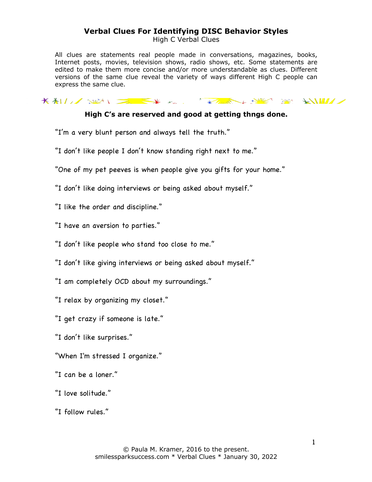High C Verbal Clues

All clues are statements real people made in conversations, magazines, books, Internet posts, movies, television shows, radio shows, etc. Some statements are edited to make them more concise and/or more understandable as clues. Different versions of the same clue reveal the variety of ways different High C people can express the same clue.

KALL SUN DE KK KK KALL KAREL SUNK SUNK KILLE

### **High C's are reserved and good at getting thngs done.**

"I'm a very blunt person and always tell the truth."

"I don't like people I don't know standing right next to me."

"One of my pet peeves is when people give you gifts for your home."

"I don't like doing interviews or being asked about myself."

"I like the order and discipline."

"I have an aversion to parties."

"I don't like people who stand too close to me."

"I don't like giving interviews or being asked about myself."

"I am completely OCD about my surroundings."

"I relax by organizing my closet."

"I get crazy if someone is late."

"I don't like surprises."

"When I'm stressed I organize."

"I can be a loner."

"I love solitude."

"I follow rules."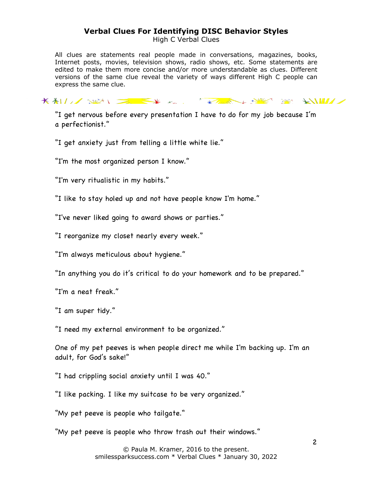High C Verbal Clues

All clues are statements real people made in conversations, magazines, books, Internet posts, movies, television shows, radio shows, etc. Some statements are edited to make them more concise and/or more understandable as clues. Different versions of the same clue reveal the variety of ways different High C people can express the same clue.

KALL SEN SEX K. KLINK HE SE KILL

"I get nervous before every presentation I have to do for my job because I'm a perfectionist."

"I get anxiety just from telling a little white lie."

"I'm the most organized person I know."

"I'm very ritualistic in my habits."

"I like to stay holed up and not have people know I'm home."

"I've never liked going to award shows or parties."

"I reorganize my closet nearly every week."

"I'm always meticulous about hygiene."

"In anything you do it's critical to do your homework and to be prepared."

"I'm a neat freak."

"I am super tidy."

"I need my external environment to be organized."

One of my pet peeves is when people direct me while I'm backing up. I'm an adult, for God's sake!"

"I had crippling social anxiety until I was 40."

"I like packing. I like my suitcase to be very organized."

"My pet peeve is people who tailgate."

"My pet peeve is people who throw trash out their windows."

© Paula M. Kramer, 2016 to the present. smilessparksuccess.com \* Verbal Clues \* January 30, 2022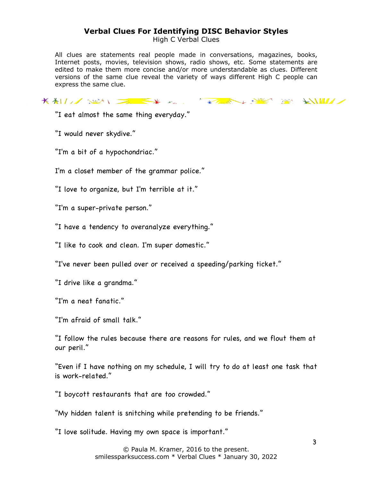High C Verbal Clues

All clues are statements real people made in conversations, magazines, books, Internet posts, movies, television shows, radio shows, etc. Some statements are edited to make them more concise and/or more understandable as clues. Different versions of the same clue reveal the variety of ways different High C people can express the same clue.

KALL SEN EXTREMELY SERVER SERVER

"I eat almost the same thing everyday."

"I would never skydive."

"I'm a bit of a hypochondriac."

I'm a closet member of the grammar police."

"I love to organize, but I'm terrible at it."

"I'm a super-private person."

"I have a tendency to overanalyze everything."

"I like to cook and clean. I'm super domestic."

"I've never been pulled over or received a speeding/parking ticket."

"I drive like a grandma."

"I'm a neat fanatic."

"I'm afraid of small talk."

"I follow the rules because there are reasons for rules, and we flout them at our peril."

"Even if I have nothing on my schedule, I will try to do at least one task that is work-related."

"I boycott restaurants that are too crowded."

"My hidden talent is snitching while pretending to be friends."

"I love solitude. Having my own space is important."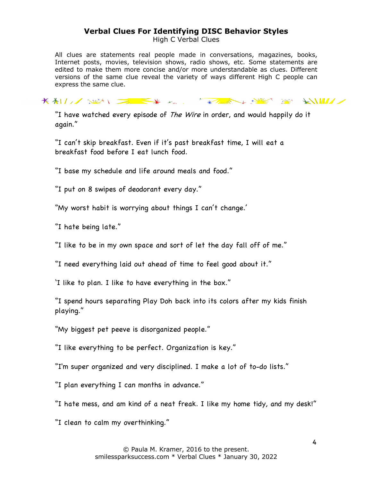High C Verbal Clues

All clues are statements real people made in conversations, magazines, books, Internet posts, movies, television shows, radio shows, etc. Some statements are edited to make them more concise and/or more understandable as clues. Different versions of the same clue reveal the variety of ways different High C people can express the same clue.

KALL SEN EXTREMELY SERVER SERVER

"I have watched every episode of The Wire in order, and would happily do it again."

"I can't skip breakfast. Even if it's past breakfast time, I will eat a breakfast food before I eat lunch food.

"I base my schedule and life around meals and food."

"I put on 8 swipes of deodorant every day."

"My worst habit is worrying about things I can't change.'

"I hate being late."

"I like to be in my own space and sort of let the day fall off of me."

"I need everything laid out ahead of time to feel good about it."

'I like to plan. I like to have everything in the box."

"I spend hours separating Play Doh back into its colors after my kids finish playing."

"My biggest pet peeve is disorganized people."

"I like everything to be perfect. Organization is key."

"I'm super organized and very disciplined. I make a lot of to-do lists."

"I plan everything I can months in advance."

"I hate mess, and am kind of a neat freak. I like my home tidy, and my desk!"

"I clean to calm my overthinking."